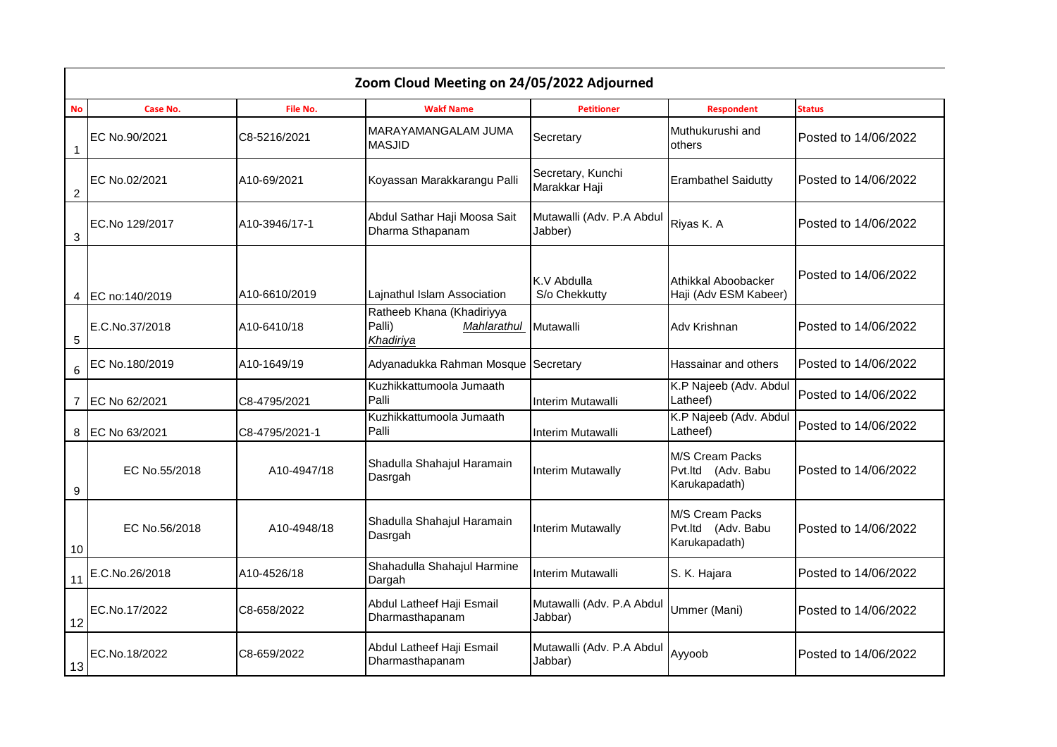| Zoom Cloud Meeting on 24/05/2022 Adjourned |                  |                |                                                                 |                                      |                                                        |                      |  |  |  |  |
|--------------------------------------------|------------------|----------------|-----------------------------------------------------------------|--------------------------------------|--------------------------------------------------------|----------------------|--|--|--|--|
| <b>No</b>                                  | Case No.         | File No.       | <b>Wakf Name</b>                                                | <b>Petitioner</b>                    | <b>Respondent</b>                                      | <b>Status</b>        |  |  |  |  |
| 1                                          | EC No.90/2021    | C8-5216/2021   | MARAYAMANGALAM JUMA<br><b>MASJID</b>                            | Secretary                            | Muthukurushi and<br>others                             | Posted to 14/06/2022 |  |  |  |  |
| $\overline{c}$                             | EC No.02/2021    | A10-69/2021    | Koyassan Marakkarangu Palli                                     | Secretary, Kunchi<br>Marakkar Haji   | <b>Erambathel Saidutty</b>                             | Posted to 14/06/2022 |  |  |  |  |
| 3                                          | EC.No 129/2017   | A10-3946/17-1  | Abdul Sathar Haji Moosa Sait<br>Dharma Sthapanam                | Mutawalli (Adv. P.A Abdul<br>Jabber) | Riyas K. A                                             | Posted to 14/06/2022 |  |  |  |  |
|                                            | 4 EC no:140/2019 | A10-6610/2019  | Lajnathul Islam Association                                     | K.V Abdulla<br>S/o Chekkutty         | Athikkal Aboobacker<br>Haji (Adv ESM Kabeer)           | Posted to 14/06/2022 |  |  |  |  |
| 5                                          | E.C.No.37/2018   | A10-6410/18    | Ratheeb Khana (Khadiriyya<br>Palli)<br>Mahlarathul<br>Khadiriya | Mutawalli                            | Adv Krishnan                                           | Posted to 14/06/2022 |  |  |  |  |
| 6                                          | EC No.180/2019   | A10-1649/19    | Adyanadukka Rahman Mosque Secretary                             |                                      | Hassainar and others                                   | Posted to 14/06/2022 |  |  |  |  |
|                                            | 7 EC No 62/2021  | C8-4795/2021   | Kuzhikkattumoola Jumaath<br>Palli                               | Interim Mutawalli                    | K.P Najeeb (Adv. Abdul<br>Latheef)                     | Posted to 14/06/2022 |  |  |  |  |
|                                            | 8 EC No 63/2021  | C8-4795/2021-1 | Kuzhikkattumoola Jumaath<br>Palli                               | Interim Mutawalli                    | K.P Najeeb (Adv. Abdul<br>Latheef)                     | Posted to 14/06/2022 |  |  |  |  |
| 9                                          | EC No.55/2018    | A10-4947/18    | Shadulla Shahajul Haramain<br>Dasrgah                           | Interim Mutawally                    | M/S Cream Packs<br>Pvt.ltd (Adv. Babu<br>Karukapadath) | Posted to 14/06/2022 |  |  |  |  |
| 10                                         | EC No.56/2018    | A10-4948/18    | Shadulla Shahajul Haramain<br>Dasrgah                           | <b>Interim Mutawally</b>             | M/S Cream Packs<br>Pvt.ltd (Adv. Babu<br>Karukapadath) | Posted to 14/06/2022 |  |  |  |  |
| 11                                         | E.C.No.26/2018   | A10-4526/18    | Shahadulla Shahajul Harmine<br>Dargah                           | Interim Mutawalli                    | S. K. Hajara                                           | Posted to 14/06/2022 |  |  |  |  |
| 12                                         | EC.No.17/2022    | C8-658/2022    | Abdul Latheef Haji Esmail<br>Dharmasthapanam                    | Mutawalli (Adv. P.A Abdul<br>Jabbar) | Ummer (Mani)                                           | Posted to 14/06/2022 |  |  |  |  |
| 13                                         | EC.No.18/2022    | C8-659/2022    | Abdul Latheef Haji Esmail<br>Dharmasthapanam                    | Mutawalli (Adv. P.A Abdul<br>Jabbar) | Ayyoob                                                 | Posted to 14/06/2022 |  |  |  |  |